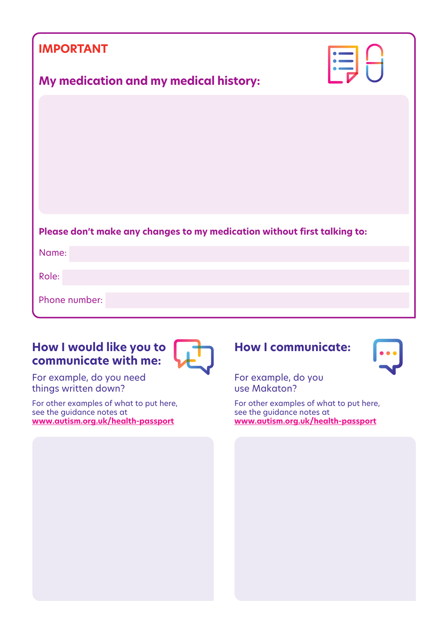| <b>IMPORTANT</b>                                                         | <b>FEH</b> |
|--------------------------------------------------------------------------|------------|
| My medication and my medical history:                                    |            |
|                                                                          |            |
|                                                                          |            |
|                                                                          |            |
|                                                                          |            |
| Please don't make any changes to my medication without first talking to: |            |
|                                                                          |            |
| Name:                                                                    |            |
| Role:                                                                    |            |
| Phone number:                                                            |            |
|                                                                          |            |

# **How I would like you to communicate with me:**



For example, do you need things written down?

For other examples of what to put here, see the guidance notes at **www.autism.org.uk/health-passport**





For example, do you use Makaton?

For other examples of what to put here, see the guidance notes at **www.autism.org.uk/health-passport**

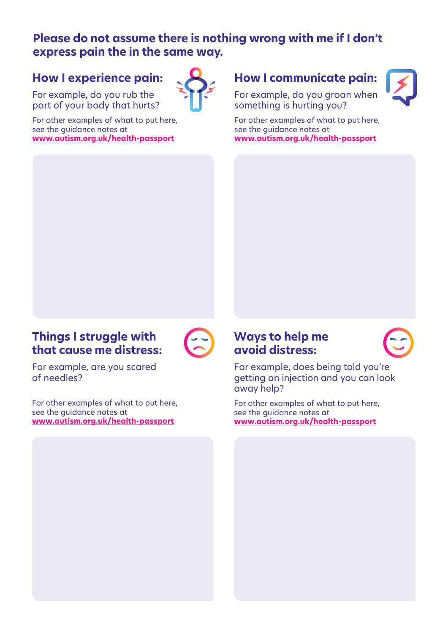#### **Please do not assume there is nothing wrong with me if I don't express pain the in the same way.**

# **How I experience pain:**

For example, do you rub the part of your body that hurts?

For other examples of what to put here, see the guidance notes at **www.autism.org.uk/health-passport**



#### **How I communicate pain:**

For example, do you groan when something is hurting you?

For other examples of what to put here, see the guidance notes at **www.autism.org.uk/health-passport**

## **Things I struggle with that cause me distress:**



For example, are you scared of needles?

For other examples of what to put here, see the guidance notes at **www.autism.org.uk/health-passport**

#### **Ways to help me avoid distress:**



For example, does being told you're getting an injection and you can look away help?

For other examples of what to put here, see the guidance notes at **www.autism.org.uk/health-passport**

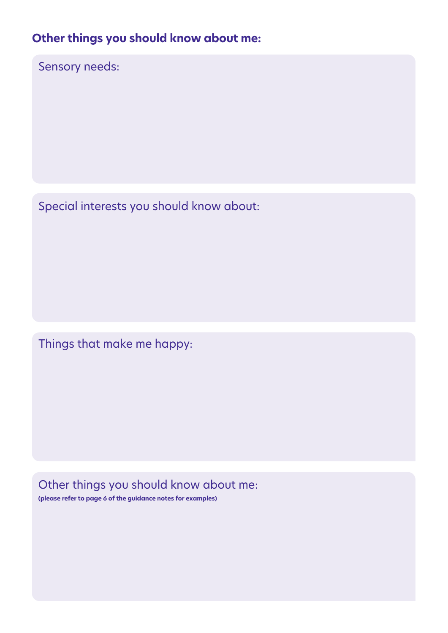# **Other things you should know about me:**

Sensory needs:

Special interests you should know about:

Things that make me happy:

Other things you should know about me:

**(please refer to page 6 of the guidance notes for examples)**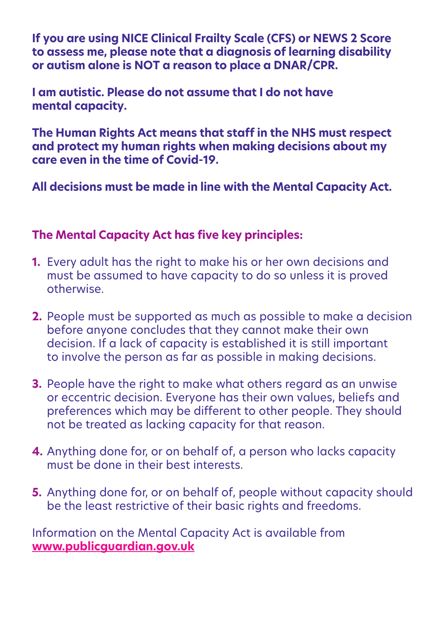**If you are using NICE Clinical Frailty Scale (CFS) or NEWS 2 Score to assess me, please note that a diagnosis of learning disability or autism alone is NOT a reason to place a DNAR/CPR.**

**I am autistic. Please do not assume that I do not have mental capacity.**

**The Human Rights Act means that staff in the NHS must respect and protect my human rights when making decisions about my care even in the time of Covid-19.**

**All decisions must be made in line with the Mental Capacity Act.** 

## **The Mental Capacity Act has five key principles:**

- **1.** Every adult has the right to make his or her own decisions and must be assumed to have capacity to do so unless it is proved otherwise.
- **2.** People must be supported as much as possible to make a decision before anyone concludes that they cannot make their own decision. If a lack of capacity is established it is still important to involve the person as far as possible in making decisions.
- **3.** People have the right to make what others regard as an unwise or eccentric decision. Everyone has their own values, beliefs and preferences which may be different to other people. They should not be treated as lacking capacity for that reason.
- **4.** Anything done for, or on behalf of, a person who lacks capacity must be done in their best interests.
- **5.** Anything done for, or on behalf of, people without capacity should be the least restrictive of their basic rights and freedoms.

Information on the Mental Capacity Act is available from **www.publicguardian.gov.uk**